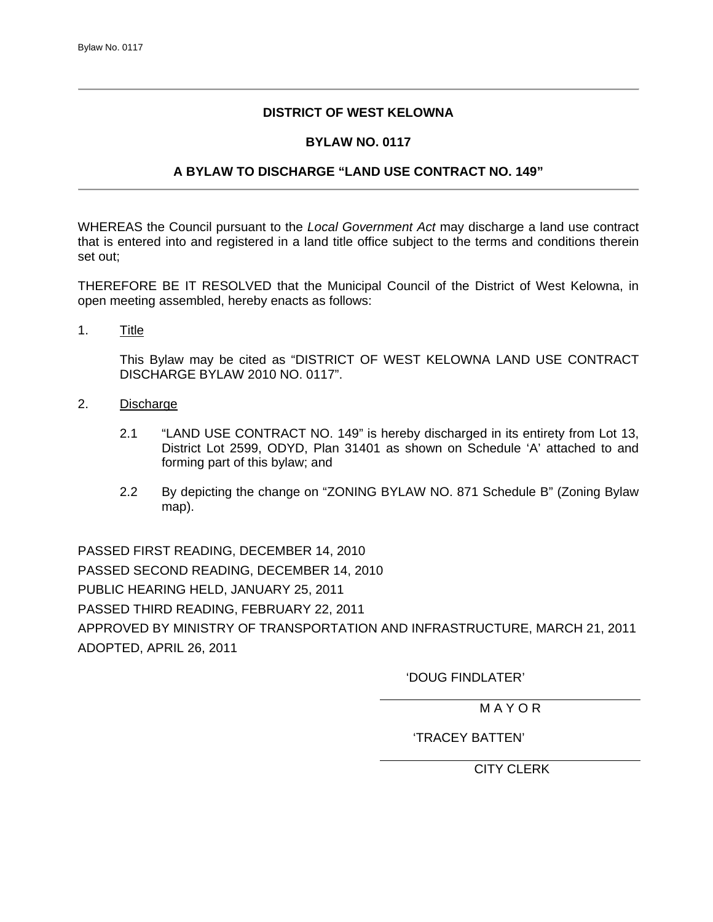## **DISTRICT OF WEST KELOWNA**

## **BYLAW NO. 0117**

## **A BYLAW TO DISCHARGE "LAND USE CONTRACT NO. 149"**

WHEREAS the Council pursuant to the *Local Government Act* may discharge a land use contract that is entered into and registered in a land title office subject to the terms and conditions therein set out;

THEREFORE BE IT RESOLVED that the Municipal Council of the District of West Kelowna, in open meeting assembled, hereby enacts as follows:

1. Title

 This Bylaw may be cited as "DISTRICT OF WEST KELOWNA LAND USE CONTRACT DISCHARGE BYLAW 2010 NO. 0117".

- 2. Discharge
	- 2.1 "LAND USE CONTRACT NO. 149" is hereby discharged in its entirety from Lot 13, District Lot 2599, ODYD, Plan 31401 as shown on Schedule 'A' attached to and forming part of this bylaw; and
	- 2.2 By depicting the change on "ZONING BYLAW NO. 871 Schedule B" (Zoning Bylaw map).

PASSED FIRST READING, DECEMBER 14, 2010 PASSED SECOND READING, DECEMBER 14, 2010 PUBLIC HEARING HELD, JANUARY 25, 2011 PASSED THIRD READING, FEBRUARY 22, 2011 APPROVED BY MINISTRY OF TRANSPORTATION AND INFRASTRUCTURE, MARCH 21, 2011 ADOPTED, APRIL 26, 2011

'DOUG FINDLATER'

M A Y O R

'TRACEY BATTEN'

CITY CLERK